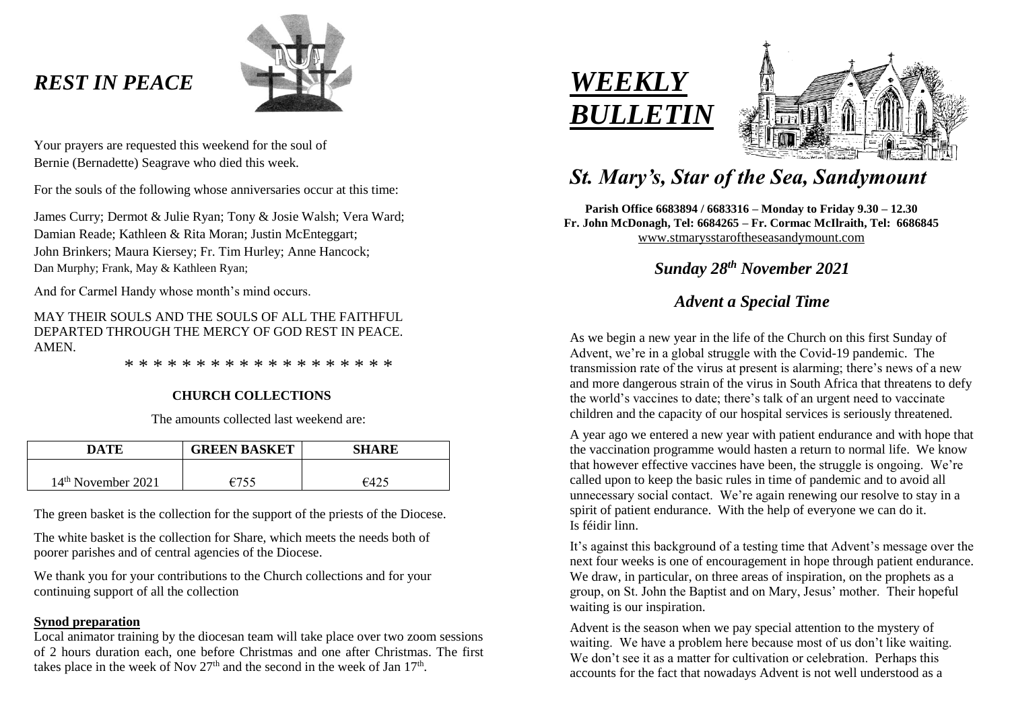# *REST IN PEACE*



Your prayers are requested this weekend for the soul of Bernie (Bernadette) Seagrave who died this week.

For the souls of the following whose anniversaries occur at this time:

James Curry; Dermot & Julie Ryan; Tony & Josie Walsh; Vera Ward; Damian Reade; Kathleen & Rita Moran; Justin McEnteggart; John Brinkers; Maura Kiersey; Fr. Tim Hurley; Anne Hancock; Dan Murphy; Frank, May & Kathleen Ryan;

And for Carmel Handy whose month's mind occurs.

MAY THEIR SOULS AND THE SOULS OF ALL THE FAITHFUL DEPARTED THROUGH THE MERCY OF GOD REST IN PEACE. **AMEN** 

\* \* \* \* \* \* \* \* \* \* \* \* \* \* \* \* \* \* \*

# **CHURCH COLLECTIONS**

The amounts collected last weekend are:

| DATE                           | <b>GREEN BASKET</b> | <b>SHARE</b> |
|--------------------------------|---------------------|--------------|
| 14 <sup>th</sup> November 2021 | 6755                |              |

The green basket is the collection for the support of the priests of the Diocese.

The white basket is the collection for Share, which meets the needs both of poorer parishes and of central agencies of the Diocese.

We thank you for your contributions to the Church collections and for your continuing support of all the collection

## **Synod preparation**

Local animator training by the diocesan team will take place over two zoom sessions of 2 hours duration each, one before Christmas and one after Christmas. The first takes place in the week of Nov  $27<sup>th</sup>$  and the second in the week of Jan  $17<sup>th</sup>$ .





# *St. Mary's, Star of the Sea, Sandymount*

**Parish Office 6683894 / 6683316 – Monday to Friday 9.30 – 12.30 Fr. John McDonagh, Tel: 6684265 – Fr. Cormac McIlraith, Tel: 6686845** [www.stmarysstaroftheseasandymount.com](http://www.stmarysstaroftheseasandymount.com/)

 *Sunday 28th November 2021*

# *Advent a Special Time*

As we begin a new year in the life of the Church on this first Sunday of Advent, we're in a global struggle with the Covid-19 pandemic. The transmission rate of the virus at present is alarming; there's news of a new and more dangerous strain of the virus in South Africa that threatens to defy the world's vaccines to date; there's talk of an urgent need to vaccinate children and the capacity of our hospital services is seriously threatened.

A year ago we entered a new year with patient endurance and with hope that the vaccination programme would hasten a return to normal life. We know that however effective vaccines have been, the struggle is ongoing. We're called upon to keep the basic rules in time of pandemic and to avoid all unnecessary social contact. We're again renewing our resolve to stay in a spirit of patient endurance. With the help of everyone we can do it. Is féidir linn.

It's against this background of a testing time that Advent's message over the next four weeks is one of encouragement in hope through patient endurance. We draw, in particular, on three areas of inspiration, on the prophets as a group, on St. John the Baptist and on Mary, Jesus' mother. Their hopeful waiting is our inspiration.

Advent is the season when we pay special attention to the mystery of waiting. We have a problem here because most of us don't like waiting. We don't see it as a matter for cultivation or celebration. Perhaps this accounts for the fact that nowadays Advent is not well understood as a